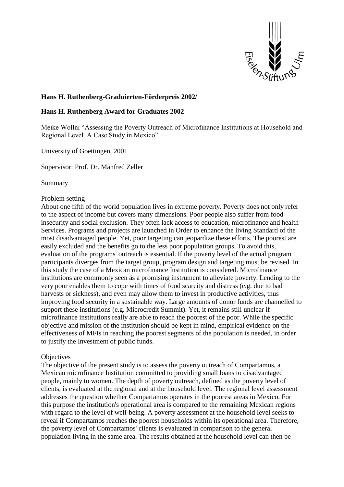

# **Hans H. Ruthenberg-Graduierten-Förderpreis 2002/**

## **Hans H. Ruthenberg Award for Graduates 2002**

Meike Wollni "Assessing the Poverty Outreach of Microfinance Institutions at Household and Regional Level. A Case Study in Mexico"

University of Goettingen, 2001

Supervisor: Prof. Dr. Manfred Zeller

Summary

#### Problem setting

About one fifth of the world population lives in extreme poverty. Poverty does not only refer to the aspect of income but covers many dimensions. Poor people also suffer from food insecurity and social exclusion. They often lack access to education, microfinance and health Services. Programs and projects are launched in Order to enhance the living Standard of the most disadvantaged people. Yet, poor targeting can jeopardize these efforts. The poorest are easily excluded and the benefits go to the less poor population groups. To avoid this, evaluation of the programs' outreach is essential. If the poverty level of the actual program participants diverges from the target group, program design and targeting must be revised. In this study the case of a Mexican microfinance Institution is considered. Microfinance institutions are commonly seen äs a promising instrument to alleviate poverty. Lending to the very poor enables them to cope with times of food scarcity and distress (e.g. due to bad harvests or sickness), and even may allow them to invest in productive activities, thus improving food security in a sustainable way. Large amounts of donor funds are channelled to support these institutions (e.g. Microcredit Summit). Yet, it remains still unclear if microfinance institutions really are able to reach the poorest of the poor. While the specific objective and mission of the institution should be kept in mind, empirical evidence on the effectiveness of MFIs in reaching the poorest segments of the population is needed, in order to justify the Investment of public funds.

## **Objectives**

The objective of the present study is to assess the poverty outreach of Compartamos, a Mexican microfinance Institution committed to providing small loans to disadvantaged people, mainly to women. The depth of poverty outreach, defined as the poverty level of clients, is evaluated at the regional and at the household level. The regional level assessment addresses the question whether Compartamos operates in the poorest areas in Mexico. For this purpose the institution's operational area is compared to the remaining Mexican regions with regard to the level of well-being. A poverty assessment at the household level seeks to reveal if Compartamos reaches the poorest households within its operational area. Therefore, the poverty level of Compartamos' clients is evaluated in comparison to the general population living in the same area. The results obtained at the household level can then be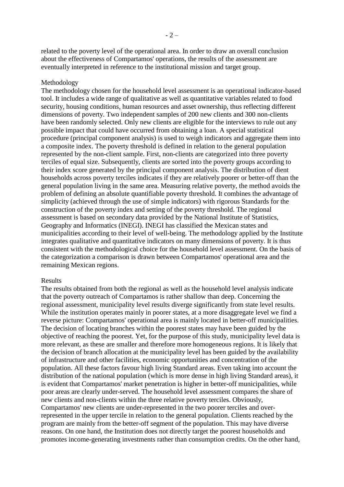related to the poverty level of the operational area. In order to draw an overall conclusion about the effectiveness of Compartamos' operations, the results of the assessment are eventually interpreted in reference to the institutional mission and target group.

#### Methodology

The methodology chosen for the household level assessment is an operational indicator-based tool. It includes a wide range of qualitative as well as quantitative variables related to food security, housing conditions, human resources and asset ownership, thus reflecting different dimensions of poverty. Two independent samples of 200 new clients and 300 non-clients have been randomly selected. Only new clients are eligible for the interviews to rule out any possible impact that could have occurred from obtaining a loan. A special statistical procedure (principal component analysis) is used to weigh indicators and aggregate them into a composite index. The poverty threshold is defined in relation to the general population represented by the non-client sample. First, non-clients are categorized into three poverty terciles of equal size. Subsequently, clients are sorted into the poverty groups according to their index score generated by the principal component analysis. The distribution of dient households across poverty terciles indicates if they are relatively poorer or better-off than the general population living in the same area. Measuring relative poverty, the method avoids the problem of defining an absolute quantifiable poverty threshold. It combines the advantage of simplicity (achieved through the use of simple indicators) with rigorous Standards for the construction of the poverty index and setting of the poverty threshold. The regional assessment is based on secondary data provided by the National Institute of Statistics, Geography and Informatics (INEGI). INEGI has classified the Mexican states and municipalities according to their level of well-being. The methodology applied by the Institute integrates qualitative and quantitative indicators on many dimensions of poverty. It is thus consistent with the methodological choice for the household level assessment. On the basis of the categorization a comparison is drawn between Compartamos' operational area and the remaining Mexican regions.

#### Results

The results obtained from both the regional as well as the household level analysis indicate that the poverty outreach of Compartamos is rather shallow than deep. Concerning the regional assessment, municipality level results diverge significantly from state level results. While the institution operates mainly in poorer states, at a more disaggregate level we find a reverse picture: Compartamos' operational area is mainly located in better-off municipalities. The decision of locating branches within the poorest states may have been guided by the objective of reaching the poorest. Yet, for the purpose of this study, municipality level data is more relevant, as these are smaller and therefore more homogeneous regions. It is likely that the decision of branch allocation at the municipality level has been guided by the availability of infrastructure and other facilities, economic opportunities and concentration of the population. All these factors favour high living Standard areas. Even taking into account the distribution of the national population (which is more dense in high living Standard areas), it is evident that Compartamos' market penetration is higher in better-off municipalities, while poor areas are clearly under-served. The household level assessment compares the share of new clients and non-clients within the three relative poverty terciles. Obviously, Compartamos' new clients are under-represented in the two poorer terciles and overrepresented in the upper tercile in relation to the general population. Clients reached by the program are mainly from the better-off segment of the population. This may have diverse reasons. On one hand, the Institution does not directly target the poorest households and promotes income-generating investments rather than consumption credits. On the other hand,